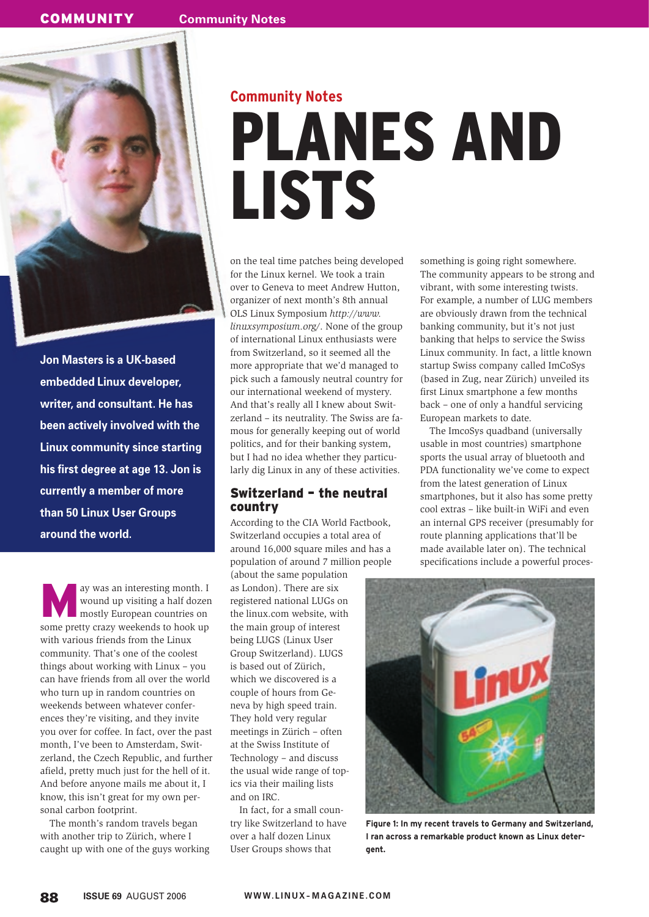

**Jon Masters is a UK-based embedded Linux developer, writer, and consultant. He has been actively involved with the Linux community since starting his first degree at age 13. Jon is currently a member of more than 50 Linux User Groups around the world.**

ay was an interesting month. I<br>wound up visiting a half dozen<br>mostly European countries on wound up visiting a half dozen some pretty crazy weekends to hook up with various friends from the Linux community. That's one of the coolest things about working with Linux – you can have friends from all over the world who turn up in random countries on weekends between whatever conferences they're visiting, and they invite you over for coffee. In fact, over the past month, I've been to Amsterdam, Switzerland, the Czech Republic, and further afield, pretty much just for the hell of it. And before anyone mails me about it, I know, this isn't great for my own personal carbon footprint.

The month's random travels began with another trip to Zürich, where I caught up with one of the guys working

# **Community Notes** PLANES AND LISTS

on the teal time patches being developed for the Linux kernel. We took a train over to Geneva to meet Andrew Hutton, organizer of next month's 8th annual OLS Linux Symposium *http:// www. linuxsymposium. org/*. None of the group of international Linux enthusiasts were from Switzerland, so it seemed all the more appropriate that we'd managed to pick such a famously neutral country for our international weekend of mystery. And that's really all I knew about Switzerland – its neutrality. The Swiss are famous for generally keeping out of world politics, and for their banking system, but I had no idea whether they particularly dig Linux in any of these activities.

## Switzerland – the neutral country

According to the CIA World Factbook, Switzerland occupies a total area of around 16,000 square miles and has a population of around 7 million people

(about the same population as London). There are six registered national LUGs on the linux.com website, with the main group of interest being LUGS (Linux User Group Switzerland). LUGS is based out of Zürich, which we discovered is a couple of hours from Geneva by high speed train. They hold very regular meetings in Zürich – often at the Swiss Institute of Technology – and discuss the usual wide range of topics via their mailing lists and on IRC.

In fact, for a small country like Switzerland to have over a half dozen Linux User Groups shows that

something is going right somewhere. The community appears to be strong and vibrant, with some interesting twists. For example, a number of LUG members are obviously drawn from the technical banking community, but it's not just banking that helps to service the Swiss Linux community. In fact, a little known startup Swiss company called ImCoSys (based in Zug, near Zürich) unveiled its first Linux smartphone a few months back – one of only a handful servicing European markets to date.

The ImcoSys quadband (universally usable in most countries) smartphone sports the usual array of bluetooth and PDA functionality we've come to expect from the latest generation of Linux smartphones, but it also has some pretty cool extras – like built-in WiFi and even an internal GPS receiver (presumably for route planning applications that'll be made available later on). The technical specifications include a powerful proces-



**Figure 1: In my recent travels to Germany and Switzerland, I ran across a remarkable product known as Linux detergent.**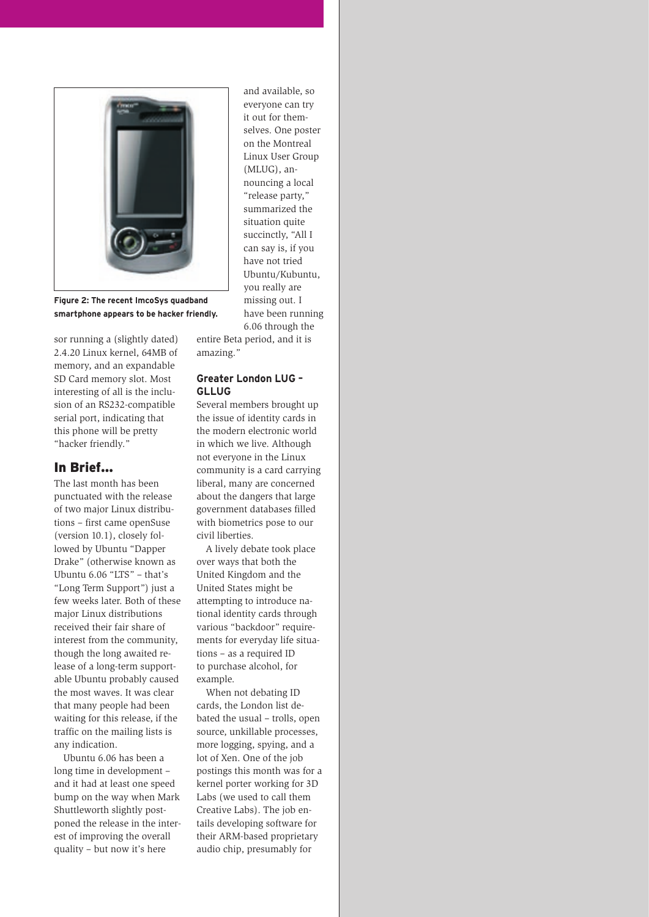

**Figure 2: The recent ImcoSys quadband smartphone appears to be hacker friendly.**

sor running a (slightly dated) 2.4.20 Linux kernel, 64MB of memory, and an expandable SD Card memory slot. Most interesting of all is the inclusion of an RS232-compatible serial port, indicating that this phone will be pretty "hacker friendly."

# In Brief…

The last month has been punctuated with the release of two major Linux distributions – first came openSuse (version 10.1), closely followed by Ubuntu "Dapper Drake" (otherwise known as Ubuntu 6.06 "LTS" – that's "Long Term Support") just a few weeks later. Both of these major Linux distributions received their fair share of interest from the community, though the long awaited release of a long-term supportable Ubuntu probably caused the most waves. It was clear that many people had been waiting for this release, if the traffic on the mailing lists is any indication.

Ubuntu 6.06 has been a long time in development – and it had at least one speed bump on the way when Mark Shuttleworth slightly postponed the release in the interest of improving the overall quality – but now it's here

and available, so everyone can try it out for themselves. One poster on the Montreal Linux User Group (MLUG), announcing a local "release party," summarized the situation quite succinctly, "All I can say is, if you have not tried Ubuntu/ Kubuntu, you really are missing out. I have been running 6.06 through the

entire Beta period, and it is amazing."

### **Greater London LUG – GLLUG**

Several members brought up the issue of identity cards in the modern electronic world in which we live. Although not everyone in the Linux community is a card carrying liberal, many are concerned about the dangers that large government databases filled with biometrics pose to our civil liberties.

A lively debate took place over ways that both the United Kingdom and the United States might be attempting to introduce national identity cards through various "backdoor" requirements for everyday life situations – as a required ID to purchase alcohol, for example.

When not debating ID cards, the London list debated the usual – trolls, open source, unkillable processes, more logging, spying, and a lot of Xen. One of the job postings this month was for a kernel porter working for 3D Labs (we used to call them Creative Labs). The job entails developing software for their ARM-based proprietary audio chip, presumably for